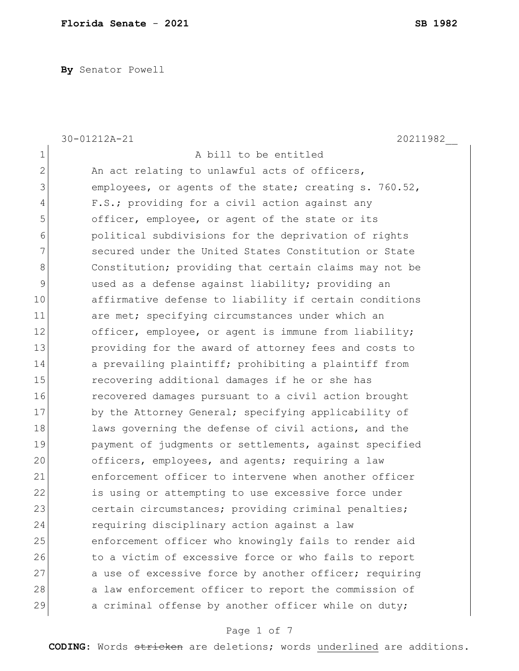**By** Senator Powell

|                | 30-01212A-21<br>20211982                               |
|----------------|--------------------------------------------------------|
| 1              | A bill to be entitled                                  |
| $\overline{2}$ | An act relating to unlawful acts of officers,          |
| 3              | employees, or agents of the state; creating s. 760.52, |
| 4              | F.S.; providing for a civil action against any         |
| 5              | officer, employee, or agent of the state or its        |
| 6              | political subdivisions for the deprivation of rights   |
| 7              | secured under the United States Constitution or State  |
| 8              | Constitution; providing that certain claims may not be |
| $\mathsf 9$    | used as a defense against liability; providing an      |
| 10             | affirmative defense to liability if certain conditions |
| 11             | are met; specifying circumstances under which an       |
| 12             | officer, employee, or agent is immune from liability;  |
| 13             | providing for the award of attorney fees and costs to  |
| 14             | a prevailing plaintiff; prohibiting a plaintiff from   |
| 15             | recovering additional damages if he or she has         |
| 16             | recovered damages pursuant to a civil action brought   |
| 17             | by the Attorney General; specifying applicability of   |
| 18             | laws governing the defense of civil actions, and the   |
| 19             | payment of judgments or settlements, against specified |
| 20             | officers, employees, and agents; requiring a law       |
| 21             | enforcement officer to intervene when another officer  |
| 22             | is using or attempting to use excessive force under    |
| 23             | certain circumstances; providing criminal penalties;   |
| 24             | requiring disciplinary action against a law            |
| 25             | enforcement officer who knowingly fails to render aid  |
| 26             | to a victim of excessive force or who fails to report  |
| 27             | a use of excessive force by another officer; requiring |
| 28             | a law enforcement officer to report the commission of  |
| 29             | a criminal offense by another officer while on duty;   |

# Page 1 of 7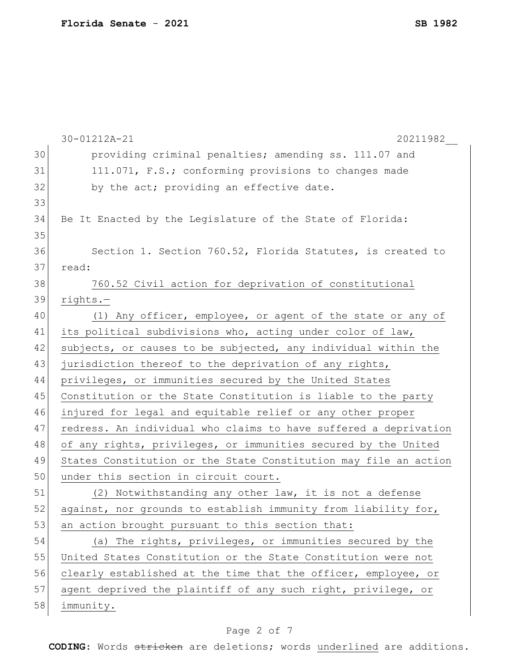|    | 30-01212A-21<br>20211982                                         |
|----|------------------------------------------------------------------|
| 30 | providing criminal penalties; amending ss. 111.07 and            |
| 31 | 111.071, F.S.; conforming provisions to changes made             |
| 32 | by the act; providing an effective date.                         |
| 33 |                                                                  |
| 34 | Be It Enacted by the Legislature of the State of Florida:        |
| 35 |                                                                  |
| 36 | Section 1. Section 760.52, Florida Statutes, is created to       |
| 37 | read:                                                            |
| 38 | 760.52 Civil action for deprivation of constitutional            |
| 39 | $rights. -$                                                      |
| 40 | (1) Any officer, employee, or agent of the state or any of       |
| 41 | its political subdivisions who, acting under color of law,       |
| 42 | subjects, or causes to be subjected, any individual within the   |
| 43 | jurisdiction thereof to the deprivation of any rights,           |
| 44 | privileges, or immunities secured by the United States           |
| 45 | Constitution or the State Constitution is liable to the party    |
| 46 | injured for legal and equitable relief or any other proper       |
| 47 | redress. An individual who claims to have suffered a deprivation |
| 48 | of any rights, privileges, or immunities secured by the United   |
| 49 | States Constitution or the State Constitution may file an action |
| 50 | under this section in circuit court.                             |
| 51 | (2) Notwithstanding any other law, it is not a defense           |
| 52 | against, nor grounds to establish immunity from liability for,   |
| 53 | an action brought pursuant to this section that:                 |
| 54 | (a) The rights, privileges, or immunities secured by the         |
| 55 | United States Constitution or the State Constitution were not    |
| 56 | clearly established at the time that the officer, employee, or   |
| 57 | agent deprived the plaintiff of any such right, privilege, or    |
| 58 | immunity.                                                        |
|    |                                                                  |

# Page 2 of 7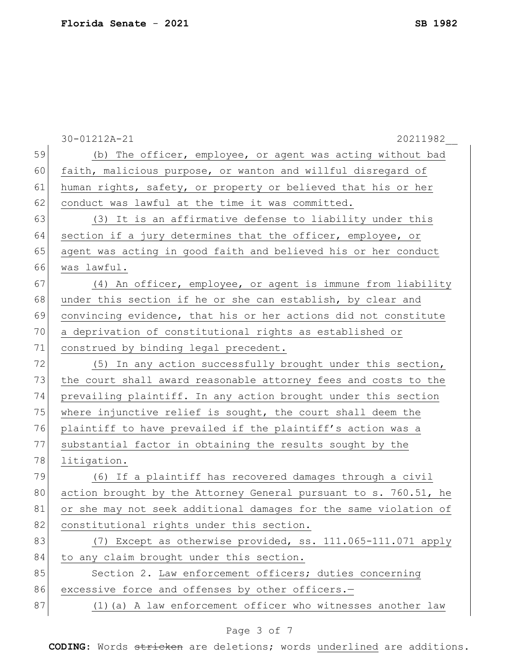|    | 30-01212A-21<br>20211982                                         |
|----|------------------------------------------------------------------|
| 59 | (b) The officer, employee, or agent was acting without bad       |
| 60 | faith, malicious purpose, or wanton and willful disregard of     |
| 61 | human rights, safety, or property or believed that his or her    |
| 62 | conduct was lawful at the time it was committed.                 |
| 63 | (3) It is an affirmative defense to liability under this         |
| 64 | section if a jury determines that the officer, employee, or      |
| 65 | agent was acting in good faith and believed his or her conduct   |
| 66 | was lawful.                                                      |
| 67 | (4) An officer, employee, or agent is immune from liability      |
| 68 | under this section if he or she can establish, by clear and      |
| 69 | convincing evidence, that his or her actions did not constitute  |
| 70 | a deprivation of constitutional rights as established or         |
| 71 | construed by binding legal precedent.                            |
| 72 | (5) In any action successfully brought under this section,       |
| 73 | the court shall award reasonable attorney fees and costs to the  |
| 74 | prevailing plaintiff. In any action brought under this section   |
| 75 | where injunctive relief is sought, the court shall deem the      |
| 76 | plaintiff to have prevailed if the plaintiff's action was a      |
| 77 | substantial factor in obtaining the results sought by the        |
| 78 | litigation.                                                      |
| 79 | (6) If a plaintiff has recovered damages through a civil         |
| 80 | action brought by the Attorney General pursuant to s. 760.51, he |
| 81 | or she may not seek additional damages for the same violation of |
| 82 | constitutional rights under this section.                        |
| 83 | (7) Except as otherwise provided, ss. 111.065-111.071 apply      |
| 84 | to any claim brought under this section.                         |
| 85 | Section 2. Law enforcement officers; duties concerning           |
| 86 | excessive force and offenses by other officers.-                 |
| 87 | (1) (a) A law enforcement officer who witnesses another law      |

# Page 3 of 7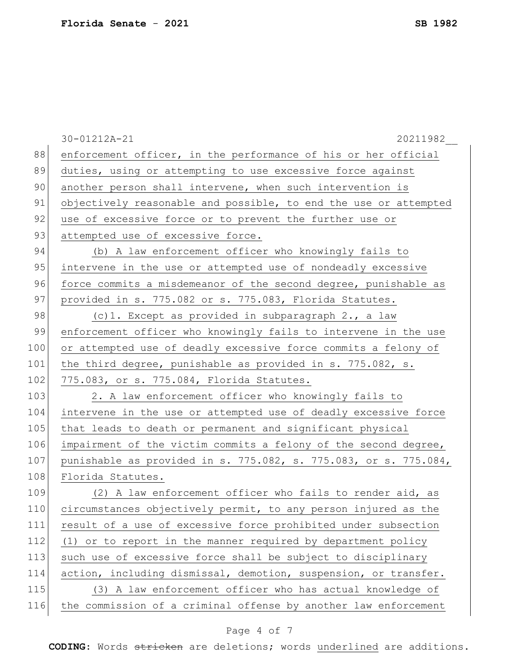|     | 20211982<br>30-01212A-21                                         |
|-----|------------------------------------------------------------------|
| 88  | enforcement officer, in the performance of his or her official   |
| 89  | duties, using or attempting to use excessive force against       |
| 90  | another person shall intervene, when such intervention is        |
| 91  | objectively reasonable and possible, to end the use or attempted |
| 92  | use of excessive force or to prevent the further use or          |
| 93  | attempted use of excessive force.                                |
| 94  | (b) A law enforcement officer who knowingly fails to             |
| 95  | intervene in the use or attempted use of nondeadly excessive     |
| 96  | force commits a misdemeanor of the second degree, punishable as  |
| 97  | provided in s. 775.082 or s. 775.083, Florida Statutes.          |
| 98  | (c)1. Except as provided in subparagraph 2., a law               |
| 99  | enforcement officer who knowingly fails to intervene in the use  |
| 100 | or attempted use of deadly excessive force commits a felony of   |
| 101 | the third degree, punishable as provided in s. 775.082, s.       |
| 102 | 775.083, or s. 775.084, Florida Statutes.                        |
| 103 | 2. A law enforcement officer who knowingly fails to              |
| 104 | intervene in the use or attempted use of deadly excessive force  |
| 105 | that leads to death or permanent and significant physical        |
| 106 | impairment of the victim commits a felony of the second degree,  |
| 107 | punishable as provided in s. 775.082, s. 775.083, or s. 775.084, |
| 108 | Florida Statutes.                                                |
| 109 | (2) A law enforcement officer who fails to render aid, as        |
| 110 | circumstances objectively permit, to any person injured as the   |
| 111 | result of a use of excessive force prohibited under subsection   |
| 112 | (1) or to report in the manner required by department policy     |
| 113 | such use of excessive force shall be subject to disciplinary     |
| 114 | action, including dismissal, demotion, suspension, or transfer.  |
| 115 | (3) A law enforcement officer who has actual knowledge of        |
| 116 | the commission of a criminal offense by another law enforcement  |

# Page 4 of 7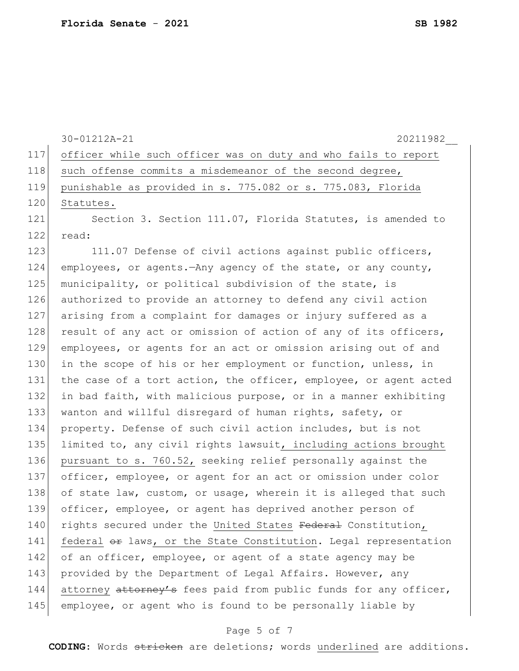|     | 30-01212A-21<br>20211982                                         |
|-----|------------------------------------------------------------------|
| 117 | officer while such officer was on duty and who fails to report   |
| 118 | such offense commits a misdemeanor of the second degree,         |
| 119 | punishable as provided in s. 775.082 or s. 775.083, Florida      |
| 120 | Statutes.                                                        |
| 121 | Section 3. Section 111.07, Florida Statutes, is amended to       |
| 122 | read:                                                            |
| 123 | 111.07 Defense of civil actions against public officers,         |
| 124 | employees, or agents. - Any agency of the state, or any county,  |
| 125 | municipality, or political subdivision of the state, is          |
| 126 | authorized to provide an attorney to defend any civil action     |
| 127 | arising from a complaint for damages or injury suffered as a     |
| 128 | result of any act or omission of action of any of its officers,  |
| 129 | employees, or agents for an act or omission arising out of and   |
| 130 | in the scope of his or her employment or function, unless, in    |
| 131 | the case of a tort action, the officer, employee, or agent acted |
| 132 | in bad faith, with malicious purpose, or in a manner exhibiting  |
| 133 | wanton and willful disregard of human rights, safety, or         |
| 134 | property. Defense of such civil action includes, but is not      |
| 135 | limited to, any civil rights lawsuit, including actions brought  |
| 136 | pursuant to s. 760.52, seeking relief personally against the     |
| 137 | officer, employee, or agent for an act or omission under color   |
| 138 | of state law, custom, or usage, wherein it is alleged that such  |
| 139 | officer, employee, or agent has deprived another person of       |
| 140 | rights secured under the United States Federal Constitution,     |
| 141 | federal or laws, or the State Constitution. Legal representation |
| 142 | of an officer, employee, or agent of a state agency may be       |
| 143 | provided by the Department of Legal Affairs. However, any        |
| 144 | attorney attorney's fees paid from public funds for any officer, |
| 145 | employee, or agent who is found to be personally liable by       |
|     |                                                                  |

# Page 5 of 7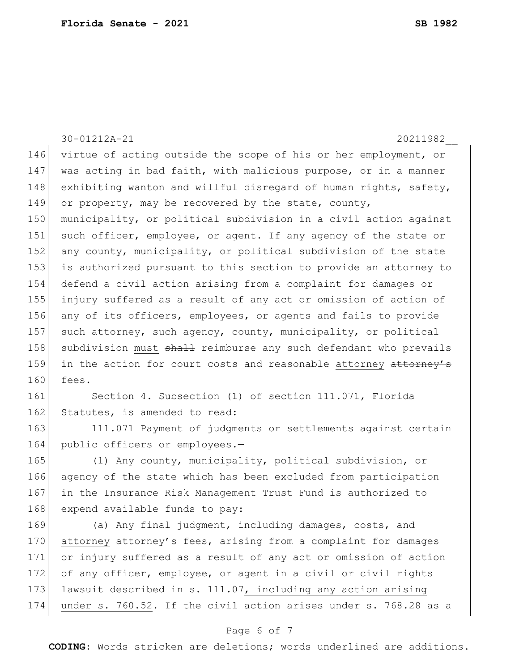30-01212A-21 20211982\_\_ 146 virtue of acting outside the scope of his or her employment, or 147 was acting in bad faith, with malicious purpose, or in a manner 148 exhibiting wanton and willful disregard of human rights, safety, 149 or property, may be recovered by the state, county, 150 municipality, or political subdivision in a civil action against 151 such officer, employee, or agent. If any agency of the state or 152 any county, municipality, or political subdivision of the state 153 is authorized pursuant to this section to provide an attorney to 154 defend a civil action arising from a complaint for damages or 155 injury suffered as a result of any act or omission of action of 156 any of its officers, employees, or agents and fails to provide 157 such attorney, such agency, county, municipality, or political 158 subdivision must shall reimburse any such defendant who prevails 159 in the action for court costs and reasonable attorney attorney's 160 fees. 161 Section 4. Subsection (1) of section 111.071, Florida 162 Statutes, is amended to read: 163 111.071 Payment of judgments or settlements against certain 164 public officers or employees.-165 (1) Any county, municipality, political subdivision, or 166 agency of the state which has been excluded from participation 167 in the Insurance Risk Management Trust Fund is authorized to 168 expend available funds to pay: 169 (a) Any final judgment, including damages, costs, and

170 attorney attorney's fees, arising from a complaint for damages 171 or injury suffered as a result of any act or omission of action 172 of any officer, employee, or agent in a civil or civil rights 173 lawsuit described in s. 111.07, including any action arising 174 under s. 760.52. If the civil action arises under s. 768.28 as a

## Page 6 of 7